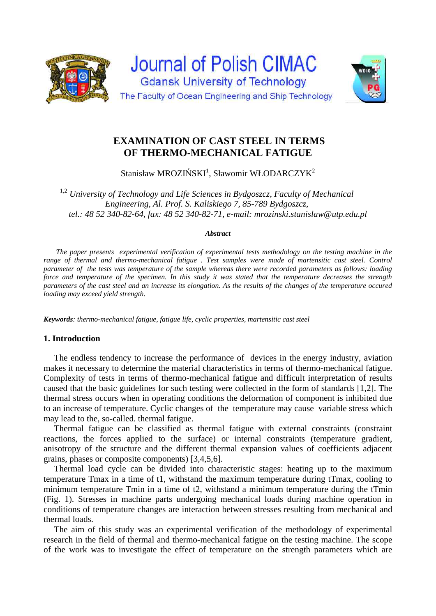



# **EXAMINATION OF CAST STEEL IN TERMS OF THERMO-MECHANICAL FATIGUE**

Stanisław MROZIŃSKI<sup>1</sup>, Sławomir WŁODARCZYK<sup>2</sup>

1,2 *University of Technology and Life Sciences in Bydgoszcz, Faculty of Mechanical Engineering, Al. Prof. S. Kaliskiego 7, 85-789 Bydgoszcz, tel.: 48 52 340-82-64, fax: 48 52 340-82-71, e-mail: mrozinski.stanislaw@utp.edu.pl* 

#### *Abstract*

*The paper presents experimental verification of experimental tests methodology on the testing machine in the range of thermal and thermo-mechanical fatigue . Test samples were made of martensitic cast steel. Control parameter of the tests was temperature of the sample whereas there were recorded parameters as follows: loading force and temperature of the specimen. In this study it was stated that the temperature decreases the strength parameters of the cast steel and an increase its elongation. As the results of the changes of the temperature occured loading may exceed yield strength.* 

*Keywords: thermo-mechanical fatigue, fatigue life, cyclic properties, martensitic cast steel* 

### **1. Introduction**

The endless tendency to increase the performance of devices in the energy industry, aviation makes it necessary to determine the material characteristics in terms of thermo-mechanical fatigue. Complexity of tests in terms of thermo-mechanical fatigue and difficult interpretation of results caused that the basic guidelines for such testing were collected in the form of standards [1,2]. The thermal stress occurs when in operating conditions the deformation of component is inhibited due to an increase of temperature. Cyclic changes of the temperature may cause variable stress which may lead to the, so-called. thermal fatigue.

Thermal fatigue can be classified as thermal fatigue with external constraints (constraint reactions, the forces applied to the surface) or internal constraints (temperature gradient, anisotropy of the structure and the different thermal expansion values of coefficients adjacent grains, phases or composite components) [3,4,5,6].

Thermal load cycle can be divided into characteristic stages: heating up to the maximum temperature Tmax in a time of t1, withstand the maximum temperature during tTmax, cooling to minimum temperature Tmin in a time of t2, withstand a minimum temperature during the tTmin (Fig. 1). Stresses in machine parts undergoing mechanical loads during machine operation in conditions of temperature changes are interaction between stresses resulting from mechanical and thermal loads.

The aim of this study was an experimental verification of the methodology of experimental research in the field of thermal and thermo-mechanical fatigue on the testing machine. The scope of the work was to investigate the effect of temperature on the strength parameters which are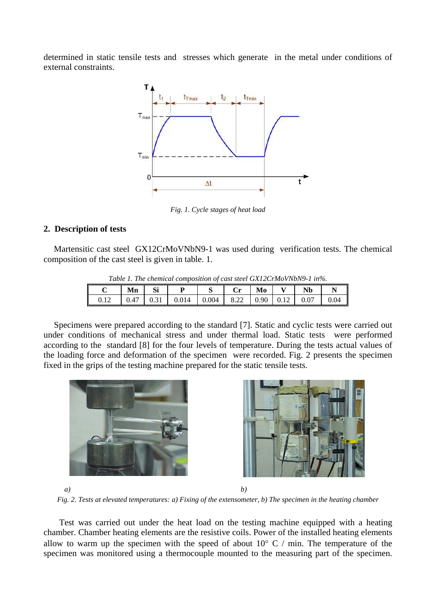determined in static tensile tests and stresses which generate in the metal under conditions of external constraints.



*Fig. 1. Cycle stages of heat load* 

## **2. Description of tests**

Martensitic cast steel GX12CrMoVNbN9-1 was used during verification tests. The chemical composition of the cast steel is given in table. 1.

| Table 1. The chemical composition of cast steel GX12CrMoVNbN9-1 in%. |    |    |                                                           |  |  |    |  |           |      |
|----------------------------------------------------------------------|----|----|-----------------------------------------------------------|--|--|----|--|-----------|------|
|                                                                      | Mn | Si |                                                           |  |  | Mo |  | <b>Nb</b> |      |
|                                                                      |    |    | $0.47$   0.31   0.014   0.004   8.22   0.90   0.12   0.07 |  |  |    |  |           | 0.04 |

*Table 1. The chemical composition of cast steel GX12CrMoVNbN9-1 in%.* 

 Specimens were prepared according to the standard [7]. Static and cyclic tests were carried out under conditions of mechanical stress and under thermal load. Static tests were performed according to the standard [8] for the four levels of temperature. During the tests actual values of the loading force and deformation of the specimen were recorded. Fig. 2 presents the specimen fixed in the grips of the testing machine prepared for the static tensile tests.





*a) b)* 

*Fig. 2. Tests at elevated temperatures: a) Fixing of the extensometer, b) The specimen in the heating chamber* 

 Test was carried out under the heat load on the testing machine equipped with a heating chamber. Chamber heating elements are the resistive coils. Power of the installed heating elements allow to warm up the specimen with the speed of about  $10^{\circ}$  C / min. The temperature of the specimen was monitored using a thermocouple mounted to the measuring part of the specimen.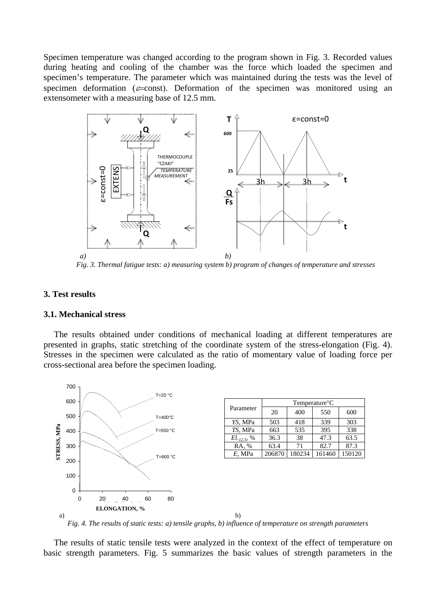Specimen temperature was changed according to the program shown in Fig. 3. Recorded values during heating and cooling of the chamber was the force which loaded the specimen and specimen's temperature. The parameter which was maintained during the tests was the level of specimen deformation ( $\varepsilon$ =const). Deformation of the specimen was monitored using an extensometer with a measuring base of 12.5 mm.



*Fig. 3. Thermal fatigue tests: a) measuring system b) program of changes of temperature and stresses* 

#### **3. Test results**

#### **3.1. Mechanical stress**

 The results obtained under conditions of mechanical loading at different temperatures are presented in graphs, static stretching of the coordinate system of the stress-elongation (Fig. 4). Stresses in the specimen were calculated as the ratio of momentary value of loading force per cross-sectional area before the specimen loading.



*Fig. 4. The results of static tests: a) tensile graphs, b) influence of temperature on strength parameters*

 The results of static tensile tests were analyzed in the context of the effect of temperature on basic strength parameters. Fig. 5 summarizes the basic values of strength parameters in the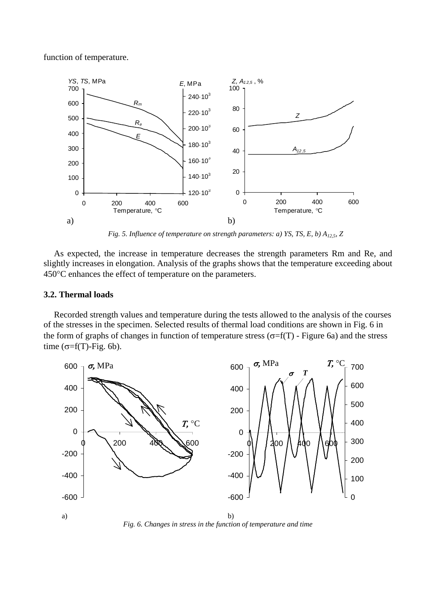function of temperature.



*Fig. 5. Influence of temperature on strength parameters: a) YS, TS, E, b) A12,5, Z* 

 As expected, the increase in temperature decreases the strength parameters Rm and Re, and slightly increases in elongation. Analysis of the graphs shows that the temperature exceeding about 450 °C enhances the effect of temperature on the parameters.

#### **3.2. Thermal loads**

Recorded strength values and temperature during the tests allowed to the analysis of the courses of the stresses in the specimen. Selected results of thermal load conditions are shown in Fig. 6 in the form of graphs of changes in function of temperature stress ( $\sigma = f(T)$ ) - Figure 6a) and the stress time  $(\sigma=f(T)$ -Fig. 6b).



*Fig. 6. Changes in stress in the function of temperature and time*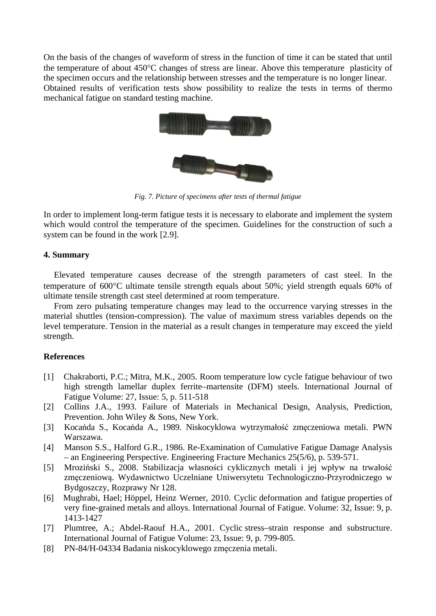On the basis of the changes of waveform of stress in the function of time it can be stated that until the temperature of about  $450^{\circ}$ C changes of stress are linear. Above this temperature plasticity of the specimen occurs and the relationship between stresses and the temperature is no longer linear. Obtained results of verification tests show possibility to realize the tests in terms of thermo mechanical fatigue on standard testing machine.



*Fig. 7. Picture of specimens after tests of thermal fatigue* 

In order to implement long-term fatigue tests it is necessary to elaborate and implement the system which would control the temperature of the specimen. Guidelines for the construction of such a system can be found in the work [2.9].

### **4. Summary**

Elevated temperature causes decrease of the strength parameters of cast steel. In the temperature of  $600^{\circ}$ C ultimate tensile strength equals about 50%; yield strength equals 60% of ultimate tensile strength cast steel determined at room temperature.

From zero pulsating temperature changes may lead to the occurrence varying stresses in the material shuttles (tension-compression). The value of maximum stress variables depends on the level temperature. Tension in the material as a result changes in temperature may exceed the yield strength.

### **References**

- [1] Chakraborti, P.C.; Mitra, M.K., 2005. Room temperature low cycle fatigue behaviour of two high strength lamellar duplex ferrite–martensite (DFM) steels. International Journal of Fatigue Volume: 27, Issue: 5, p. 511-518
- [2] Collins J.A., 1993. Failure of Materials in Mechanical Design, Analysis, Prediction, Prevention. John Wiley & Sons, New York.
- [3] Kocańda S., Kocańda A., 1989. Niskocyklowa wytrzymałość zmęczeniowa metali. PWN Warszawa.
- [4] Manson S.S., Halford G.R., 1986. Re-Examination of Cumulative Fatigue Damage Analysis – an Engineering Perspective. Engineering Fracture Mechanics 25(5/6), p. 539-571.
- [5] Mroziński S., 2008. Stabilizacja własności cyklicznych metali i jej wpływ na trwałość zmęczeniową. Wydawnictwo Uczelniane Uniwersytetu Technologiczno-Przyrodniczego w Bydgoszczy, Rozprawy Nr 128.
- [6] Mughrabi, Hael; Höppel, Heinz Werner, 2010. Cyclic deformation and fatigue properties of very fine-grained metals and alloys. International Journal of Fatigue. Volume: 32, Issue: 9, p. 1413-1427
- [7] Plumtree, A.; Abdel-Raouf H.A., 2001. Cyclic stress–strain response and substructure. International Journal of Fatigue Volume: 23, Issue: 9, p. 799-805.
- [8] PN-84/H-04334 Badania niskocyklowego zmęczenia metali.